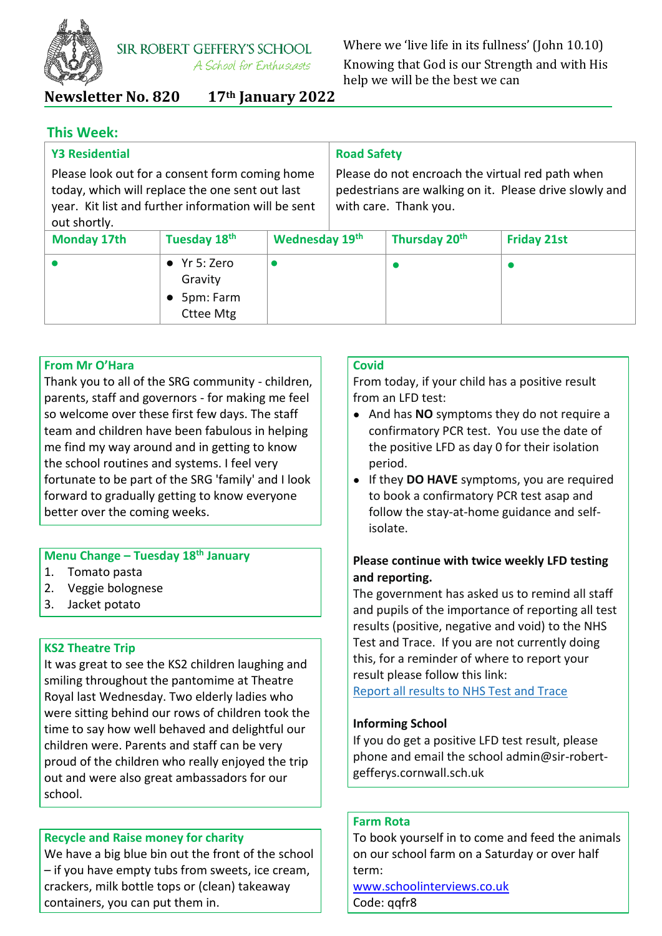

Where we 'live life in its fullness' (John 10.10) Knowing that God is our Strength and with His help we will be the best we can

**Newsletter No. 820 17th January 2022**

## **This Week:**

| <b>Y3 Residential</b>                                                                                                                                                    |                                                                  |                                                                                                                                     | <b>Road Safety</b> |                           |                    |  |
|--------------------------------------------------------------------------------------------------------------------------------------------------------------------------|------------------------------------------------------------------|-------------------------------------------------------------------------------------------------------------------------------------|--------------------|---------------------------|--------------------|--|
| Please look out for a consent form coming home<br>today, which will replace the one sent out last<br>year. Kit list and further information will be sent<br>out shortly. |                                                                  | Please do not encroach the virtual red path when<br>pedestrians are walking on it. Please drive slowly and<br>with care. Thank you. |                    |                           |                    |  |
| <b>Monday 17th</b>                                                                                                                                                       | Tuesday 18th                                                     | Wednesday 19th                                                                                                                      |                    | Thursday 20 <sup>th</sup> | <b>Friday 21st</b> |  |
|                                                                                                                                                                          | $\bullet$ Yr 5: Zero<br>Gravity<br>5pm: Farm<br><b>Cttee Mtg</b> |                                                                                                                                     |                    |                           |                    |  |

## **From Mr O'Hara**

Thank you to all of the SRG community - children, parents, staff and governors - for making me feel so welcome over these first few days. The staff team and children have been fabulous in helping me find my way around and in getting to know the school routines and systems. I feel very fortunate to be part of the SRG 'family' and I look forward to gradually getting to know everyone better over the coming weeks.

## **Menu Change – Tuesday 18th January**

- 1. Tomato pasta
- 2. Veggie bolognese
- 3. Jacket potato

## **KS2 Theatre Trip**

It was great to see the KS2 children laughing and smiling throughout the pantomime at Theatre Royal last Wednesday. Two elderly ladies who were sitting behind our rows of children took the time to say how well behaved and delightful our children were. Parents and staff can be very proud of the children who really enjoyed the trip out and were also great ambassadors for our school.

## **Recycle and Raise money for charity**

We have a big blue bin out the front of the school – if you have empty tubs from sweets, ice cream, crackers, milk bottle tops or (clean) takeaway containers, you can put them in.

## **Covid**

From today, if your child has a positive result from an LFD test:

- And has **NO** symptoms they do not require a confirmatory PCR test. You use the date of the positive LFD as day 0 for their isolation period.
- If they **DO HAVE** symptoms, you are required to book a confirmatory PCR test asap and follow the stay-at-home guidance and selfisolate.

## **Please continue with twice weekly LFD testing and reporting.**

The government has asked us to remind all staff and pupils of the importance of reporting all test results (positive, negative and void) to the NHS Test and Trace. If you are not currently doing this, for a reminder of where to report your result please follow this link:

[Report all results to NHS Test and Trace](https://www.gov.uk/report-covid19-result?utm_source=11%20January%202022%20C19&utm_medium=Daily%20Email%20C19&utm_campaign=DfE%20C19) 

## **Informing School**

If you do get a positive LFD test result, please phone and email the school admin@sir-robertgefferys.cornwall.sch.uk

## **Farm Rota**

To book yourself in to come and feed the animals on our school farm on a Saturday or over half term:

[www.schoolinterviews.co.uk](http://www.schoolinterviews.co.uk/) Code: qqfr8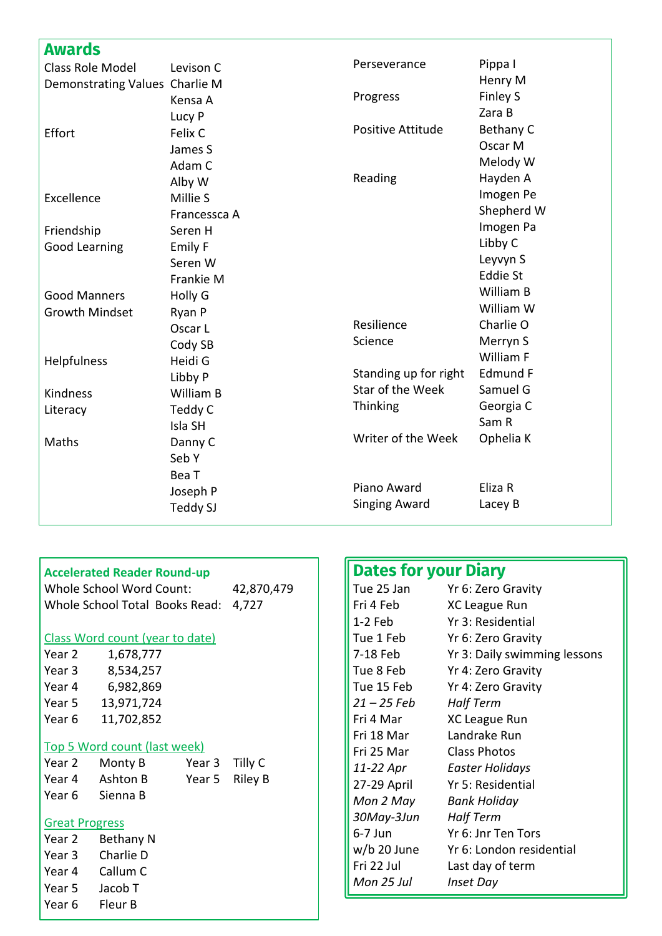| Awards                         |                |                       |                 |
|--------------------------------|----------------|-----------------------|-----------------|
| <b>Class Role Model</b>        | Levison C      | Perseverance          | Pippa I         |
| Demonstrating Values Charlie M |                |                       | Henry M         |
|                                | Kensa A        | Progress              | Finley S        |
|                                | Lucy P         |                       | Zara B          |
| Effort                         | Felix C        | Positive Attitude     | Bethany C       |
|                                | James S        |                       | Oscar M         |
|                                | Adam C         |                       | Melody W        |
|                                | Alby W         | Reading               | Hayden A        |
| Excellence                     | Millie S       |                       | Imogen Pe       |
|                                | Francessca A   |                       | Shepherd W      |
| Friendship                     | Seren H        |                       | Imogen Pa       |
| <b>Good Learning</b>           | <b>Emily F</b> |                       | Libby C         |
|                                | Seren W        |                       | Leyvyn S        |
|                                | Frankie M      |                       | <b>Eddie St</b> |
| <b>Good Manners</b>            | Holly G        |                       | William B       |
| <b>Growth Mindset</b>          | Ryan P         |                       | William W       |
|                                | Oscar L        | Resilience            | Charlie O       |
|                                | Cody SB        | Science               | Merryn S        |
| Helpfulness                    | Heidi G        |                       | William F       |
|                                | Libby P        | Standing up for right | <b>Edmund F</b> |
| Kindness                       | William B      | Star of the Week      | Samuel G        |
| Literacy                       | Teddy C        | Thinking              | Georgia C       |
|                                | Isla SH        |                       | Sam R           |
| Maths                          | Danny C        | Writer of the Week    | Ophelia K       |
|                                | Seb Y          |                       |                 |
|                                | Bea T          |                       |                 |
|                                | Joseph P       | Piano Award           | Eliza R         |
|                                | Teddy SJ       | <b>Singing Award</b>  | Lacey B         |
|                                |                |                       |                 |

| <b>Accelerated Reader Round-up</b> |                |  | <b>Dates for your Diary</b> |                              |  |
|------------------------------------|----------------|--|-----------------------------|------------------------------|--|
| <b>Whole School Word Count:</b>    | 42,870,479     |  | Tue 25 Jan                  | Yr 6: Zero Gravity           |  |
| Whole School Total Books Read:     | 4,727          |  | Fri 4 Feb                   | XC League Run                |  |
|                                    |                |  | $1-2$ Feb                   | Yr 3: Residential            |  |
| Class Word count (year to date)    |                |  | Tue 1 Feb                   | Yr 6: Zero Gravity           |  |
| Year 2<br>1,678,777                |                |  | 7-18 Feb                    | Yr 3: Daily swimming lessons |  |
| Year 3<br>8,534,257                |                |  | Tue 8 Feb                   | Yr 4: Zero Gravity           |  |
| Year 4<br>6,982,869                |                |  | Tue 15 Feb                  | Yr 4: Zero Gravity           |  |
| Year 5<br>13,971,724               |                |  | $21 - 25$ Feb               | <b>Half Term</b>             |  |
| Year 6<br>11,702,852               |                |  | Fri 4 Mar                   | XC League Run                |  |
|                                    |                |  | Fri 18 Mar                  | Landrake Run                 |  |
| Top 5 Word count (last week)       |                |  | Fri 25 Mar                  | <b>Class Photos</b>          |  |
| Year 2<br>Monty B<br>Year 3        | Tilly C        |  | 11-22 Apr                   | Easter Holidays              |  |
| Ashton B<br>Year 4<br>Year 5       | <b>Riley B</b> |  | 27-29 April                 | Yr 5: Residential            |  |
| Year 6<br>Sienna B                 |                |  | Mon 2 May                   | <b>Bank Holiday</b>          |  |
| <b>Great Progress</b>              |                |  | 30May-3Jun                  | <b>Half Term</b>             |  |
| Year 2<br>Bethany N                |                |  | $6-7$ Jun                   | Yr 6: Jnr Ten Tors           |  |
| Charlie D<br>Year 3                |                |  | $w/b$ 20 June               | Yr 6: London residential     |  |
| Callum C<br>Year 4                 |                |  | Fri 22 Jul                  | Last day of term             |  |
|                                    |                |  | Mon 25 Jul                  | <b>Inset Day</b>             |  |
| Year 5<br>Jacob T                  |                |  |                             |                              |  |
| Fleur B<br>Year 6                  |                |  |                             |                              |  |